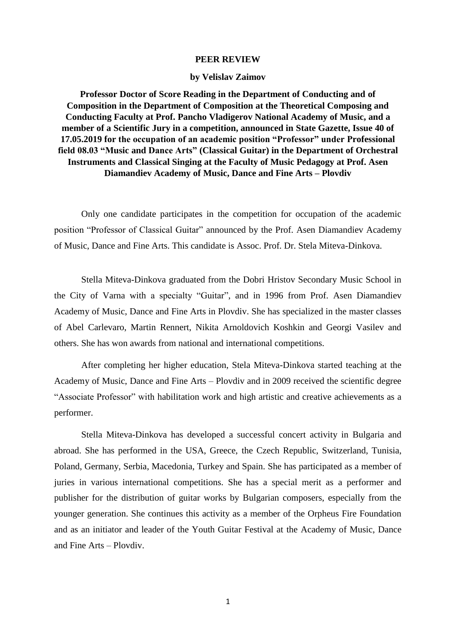## **PEER REVIEW**

## **by Velislav Zaimov**

**Professor Doctor of Score Reading in the Department of Conducting and of Composition in the Department of Composition at the Theoretical Composing and Conducting Faculty at Prof. Pancho Vladigerov National Academy of Music, and a member of a Scientific Jury in a competition, announced in State Gazette, Issue 40 of 17.05.2019 for the occupation of an academic position "Professor" under Professional field 08.03 "Music and Dance Arts" (Classical Guitar) in the Department of Orchestral Instruments and Classical Singing at the Faculty of Music Pedagogy at Prof. Asen Diamandiev Academy of Music, Dance and Fine Arts – Plovdiv**

Only one candidate participates in the competition for occupation of the academic position "Professor of Classical Guitar" announced by the Prof. Asen Diamandiev Academy of Music, Dance and Fine Arts. This candidate is Assoc. Prof. Dr. Stela Miteva-Dinkova.

Stella Miteva-Dinkova graduated from the Dobri Hristov Secondary Music School in the City of Varna with a specialty "Guitar", and in 1996 from Prof. Asen Diamandiev Academy of Music, Dance and Fine Arts in Plovdiv. She has specialized in the master classes of Abel Carlevaro, Martin Rennert, Nikita Arnoldovich Koshkin and Georgi Vasilev and others. She has won awards from national and international competitions.

After completing her higher education, Stela Miteva-Dinkova started teaching at the Academy of Music, Dance and Fine Arts – Plovdiv and in 2009 received the scientific degree "Associate Professor" with habilitation work and high artistic and creative achievements as a performer.

Stella Miteva-Dinkova has developed a successful concert activity in Bulgaria and abroad. She has performed in the USA, Greece, the Czech Republic, Switzerland, Tunisia, Poland, Germany, Serbia, Macedonia, Turkey and Spain. She has participated as a member of juries in various international competitions. She has a special merit as a performer and publisher for the distribution of guitar works by Bulgarian composers, especially from the younger generation. She continues this activity as a member of the Orpheus Fire Foundation and as an initiator and leader of the Youth Guitar Festival at the Academy of Music, Dance and Fine Arts – Plovdiv.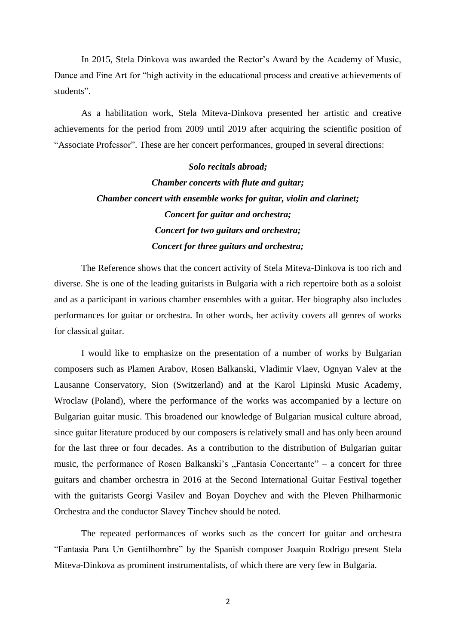In 2015, Stela Dinkova was awarded the Rector's Award by the Academy of Music, Dance and Fine Art for "high activity in the educational process and creative achievements of students".

As a habilitation work, Stela Miteva-Dinkova presented her artistic and creative achievements for the period from 2009 until 2019 after acquiring the scientific position of "Associate Professor". These are her concert performances, grouped in several directions:

> *Solo recitals abroad; Chamber concerts with flute and guitar; Chamber concert with ensemble works for guitar, violin and clarinet; Concert for guitar and orchestra; Concert for two guitars and orchestra; Concert for three guitars and orchestra;*

The Reference shows that the concert activity of Stela Miteva-Dinkova is too rich and diverse. She is one of the leading guitarists in Bulgaria with a rich repertoire both as a soloist and as a participant in various chamber ensembles with a guitar. Her biography also includes performances for guitar or orchestra. In other words, her activity covers all genres of works for classical guitar.

I would like to emphasize on the presentation of a number of works by Bulgarian composers such as Plamen Arabov, Rosen Balkanski, Vladimir Vlaev, Ognyan Valev at the Lausanne Conservatory, Sion (Switzerland) and at the Karol Lipinski Music Academy, Wroclaw (Poland), where the performance of the works was accompanied by a lecture on Bulgarian guitar music. This broadened our knowledge of Bulgarian musical culture abroad, since guitar literature produced by our composers is relatively small and has only been around for the last three or four decades. As a contribution to the distribution of Bulgarian guitar music, the performance of Rosen Balkanski's  $\pi$ Fantasia Concertante" – a concert for three guitars and chamber orchestra in 2016 at the Second International Guitar Festival together with the guitarists Georgi Vasilev and Boyan Doychev and with the Pleven Philharmonic Orchestra and the conductor Slavey Tinchev should be noted.

The repeated performances of works such as the concert for guitar and orchestra "Fantasía Para Un Gentilhombre" by the Spanish composer Joaquin Rodrigo present Stela Miteva-Dinkova as prominent instrumentalists, of which there are very few in Bulgaria.